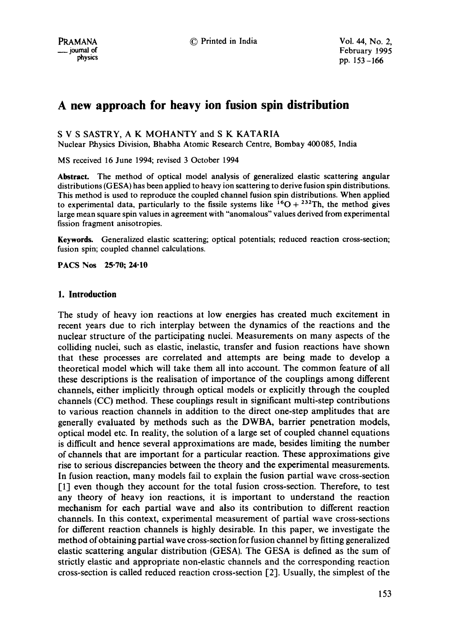# **A new approach for heavy ion fusion spin distribution**

S V S SASTRY, A K MOHANTY and S K KATARIA

Nuclear Physics Division, Bhabha Atomic Research Centre, Bombay 400085, India

MS received 16 June 1994; revised 3 October 1994

**Abstract.** The method of optical model analysis of generalized elastic scattering angular distributions (GESA) has been applied to heavy ion scattering to derive fusion spin distributions. This method is used to reproduce the coupled channel fusion spin distributions. When applied to experimental data, particularly to the fissile systems like  ${}^{16}O + {}^{232}Th$ , the method gives large mean square spin values in agreement with "anomalous" values derived from experimental fission fragment anisotropies.

Keywords. Generalized elastic scattering; optical potentials; reduced reaction cross-section; fusion spin; coupled channel calculations.

**PACS Nos 25-70; 24-10** 

# **1. Introduction**

The study of heavy ion reactions at low energies has created much excitement in recent years due to rich interplay between the dynamics of the reactions and the nuclear structure of the participating nuclei. Measurements on many aspects of the colliding nuclei, such as elastic, inelastic, transfer and fusion reactions have shown that these processes are correlated and attempts are being made to develop a theoretical model which will take them all into account. The common feature of all these descriptions is the realisation of importance of the couplings among different channels, either implicitly through optical models or explicitly through the coupled channels (CC) method. These couplings result in significant multi-step contributions to various reaction channels in addition to the direct one-step amplitudes that are generally evaluated by methods such as the DWBA, barrier penetration models, optical model etc. In reality, the solution of a large set of coupled channel equations is difficult and hence several approximations are made, besides limiting the number of channels that are important for a particular reaction. These approximations give rise to serious discrepancies between the theory and the experimental measurements. In fusion reaction, many models fail to explain the fusion partial wave cross-section [1] even though they account for the total fusion cross-section. Therefore, to test any theory of heavy ion reactions, it is important to understand the reaction mechanism for each partial wave and also its contribution to different reaction channels. In this context, experimental measurement of partial wave cross-sections for different reaction channels is highly desirable. In this paper, we investigate the method of obtaining partial wave cross-section for fusion channel by fitting generalized elastic scattering angular distribution (GESA). The GESA is defined as the sum of strictly elastic and appropriate non-elastic channels and the corresponding reaction cross-section is called reduced reaction cross-section [2]. Usually, the simplest of the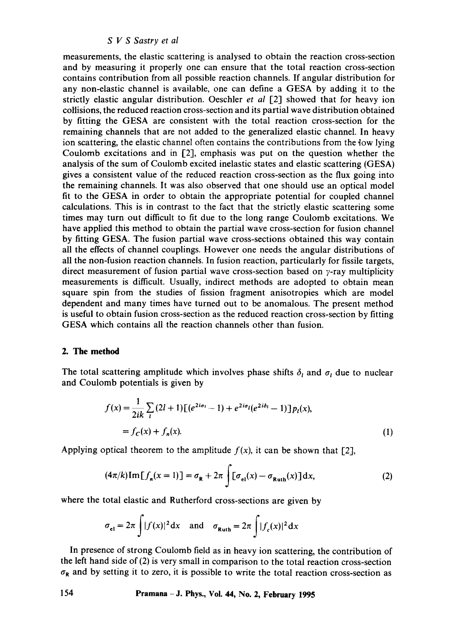measurements, the elastic scattering is analysed to obtain the reaction cross-section and by measuring it properly one can ensure that the total reaction cross-section contains contribution from all possible reaction channels. If angular distribution for any non-elastic channel is available, one can define a GESA by adding it to the strictly elastic angular distribution. Oeschler *et al* [2] showed that for heavy ion collisions, the reduced reaction cross-section and its partial wave distribution obtained by fitting the GESA are consistent with the total reaction cross-section for the remaining channels that are not added to the generalized elastic channel. In heavy ion scattering, the elastic channel often contains the contributions from the low lying Coulomb excitations and in [2], emphasis was put on the question whether the analysis of the sum of Coulomb excited inelastic states and elastic scattering (GESA) gives a consistent value of the reduced reaction cross-section as the flux going into the remaining channels. It was also observed that one should use an optical model fit to the GESA in order to obtain the appropriate potential for coupled channel calculations. This is in contrast to the fact that the strictly elastic scattering some times may turn out difficult to fit due to the long range Coulomb excitations. We have applied this method to obtain the partial wave cross-section for fusion channel by fitting GESA. The fusion partial wave cross-sections obtained this way contain all the effects of channel couplings. However one needs the angular distributions of all the non-fusion reaction channels. In fusion reaction, particularly for fissile targets, direct measurement of fusion partial wave cross-section based on  $\gamma$ -ray multiplicity measurements is difficult. Usually, indirect methods are adopted to obtain mean square spin from the studies of fission fragment anisotropies which are model dependent and many times have turned out to be anomalous. The present method is useful to obtain fusion cross-section as the reduced reaction cross-section by fitting GESA which contains all the reaction channels other than fusion.

# **2. The method**

The total scattering amplitude which involves phase shifts  $\delta_i$  and  $\sigma_i$  due to nuclear and Coulomb potentials is given by

$$
f(x) = \frac{1}{2ik} \sum_{l} (2l+1) [ (e^{2i\sigma_l} - 1) + e^{2i\sigma_l} (e^{2i\delta_l} - 1) ] p_l(x),
$$
  
=  $f_c(x) + f_n(x).$  (1)

Applying optical theorem to the amplitude  $f(x)$ , it can be shown that [2],

$$
(4\pi/k)\mathrm{Im}\left[f_n(x=1)\right] = \sigma_{\mathbf{R}} + 2\pi \int [\sigma_{\mathrm{el}}(x) - \sigma_{\mathrm{Ruth}}(x)]\,\mathrm{d}x,\tag{2}
$$

where the total elastic and Rutherford cross-sections are given by

$$
\sigma_{el} = 2\pi \int |f(x)|^2 dx
$$
 and  $\sigma_{\text{Ruth}} = 2\pi \int |f_c(x)|^2 dx$ 

In presence of strong Coulomb field as in heavy ion scattering, the contribution of the left hand side of (2) is very small in comparison to the total reaction cross-section  $\sigma_R$  and by setting it to zero, it is possible to write the total reaction cross-section as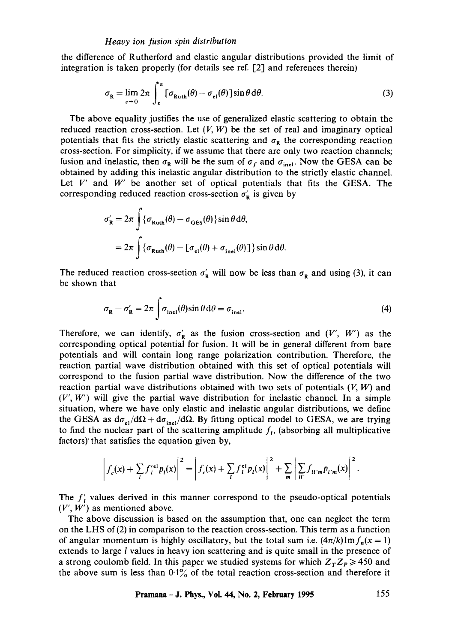the difference of Rutherford and elastic angular distributions provided the limit of integration is taken properly (for details see ref.  $[2]$  and references therein)

$$
\sigma_{\mathbf{R}} = \lim_{\epsilon \to 0} 2\pi \int_{\epsilon}^{\pi} \left[ \sigma_{\mathbf{Ruth}}(\theta) - \sigma_{\mathbf{el}}(\theta) \right] \sin \theta \, d\theta. \tag{3}
$$

The above equality justifies the use of generalized elastic scattering to obtain the reduced reaction cross-section. Let  $(V, W)$  be the set of real and imaginary optical potentials that fits the strictly elastic scattering and  $\sigma_R$  the corresponding reaction cross-section. For simplicity, if we assume that there are only two reaction channels; fusion and inelastic, then  $\sigma_R$  will be the sum of  $\sigma_f$  and  $\sigma_{\text{inel}}$ . Now the GESA can be obtained by adding this inelastic angular distribution to the strictly elastic channel. Let  $V'$  and  $W'$  be another set of optical potentials that fits the GESA. The corresponding reduced reaction cross-section  $\sigma'_{\mathbf{R}}$  is given by

$$
\sigma'_{\mathbf{R}} = 2\pi \int \{ \sigma_{\text{Ruth}}(\theta) - \sigma_{\text{GES}}(\theta) \} \sin \theta \, d\theta,
$$
  
=  $2\pi \int \{ \sigma_{\text{Ruth}}(\theta) - [\sigma_{\text{el}}(\theta) + \sigma_{\text{inel}}(\theta)] \} \sin \theta \, d\theta.$ 

The reduced reaction cross-section  $\sigma_R$  will now be less than  $\sigma_R$  and using (3), it can be shown that

$$
\sigma_{\mathbf{R}} - \sigma_{\mathbf{R}}' = 2\pi \int \sigma_{\text{inel}}(\theta) \sin \theta \, d\theta = \sigma_{\text{inel}}.
$$
\n(4)

Therefore, we can identify,  $\sigma'_{R}$  as the fusion cross-section and  $(V', W')$  as the corresponding optical potential for fusion. It will be in general different from bare potentials and will contain long range polarization contribution. Therefore, the reaction partial wave distribution obtained with this set of optical potentials will correspond to the fusion partial wave distribution. Now the difference of the two reaction partial wave distributions obtained with two sets of potentials  $(V, W)$  and  $(V', W')$  will give the partial wave distribution for inelastic channel. In a simple situation, where we have only elastic and inelastic angular distributions, we define the GESA as  $d\sigma_{el}/d\Omega + d\sigma_{inel}/d\Omega$ . By fitting optical model to GESA, we are trying to find the nuclear part of the scattering amplitude  $f<sub>l</sub>$ , (absorbing all multiplicative factors)' that satisfies the equation given by,

$$
\left|f_c(x) + \sum_l f_l^{\text{rel}} p_l(x)\right|^2 = \left|f_c(x) + \sum_l f_l^{\text{el}} p_l(x)\right|^2 + \sum_m \left| \sum_{ll'} f_{ll'm} p_{l'm}(x)\right|^2.
$$

The  $f'_t$  values derived in this manner correspond to the pseudo-optical potentials  $(V', W')$  as mentioned above.

The above discussion is based on the assumption that, one can neglect the term on the LHS of(2) in comparison to the reaction cross-section. This term as a function of angular momentum is highly oscillatory, but the total sum i.e.  $(4\pi/k)\text{Im} f_n(x=1)$ extends to large *l* values in heavy ion scattering and is quite small in the presence of a strong coulomb field. In this paper we studied systems for which  $Z_T Z_P \ge 450$  and the above sum is less than  $0.1\%$  of the total reaction cross-section and therefore it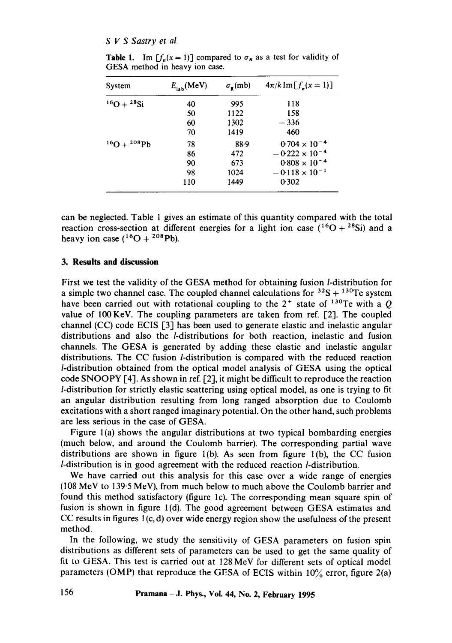| System                  | $E_{\rm lab}$ (MeV) | $\sigma_{\rm R}$ (mb) | $4\pi/k$ Im $[f_n(x = 1)]$ |  |  |  |
|-------------------------|---------------------|-----------------------|----------------------------|--|--|--|
| $^{16}O + ^{28}Si$      | 40                  | 995                   | 118                        |  |  |  |
|                         | 50                  | 1122                  | 158                        |  |  |  |
|                         | 60                  | 1302                  | $-336$                     |  |  |  |
|                         | 70                  | 1419                  | 460                        |  |  |  |
| $^{16}$ O + $^{208}$ Pb | 78                  | 88.9                  | $0.704 \times 10^{-4}$     |  |  |  |
|                         | 86                  | 472                   | $-0.222 \times 10^{-4}$    |  |  |  |
|                         | 90                  | 673                   | $0.808 \times 10^{-4}$     |  |  |  |
|                         | 98                  | 1024                  | $-0.118 \times 10^{-1}$    |  |  |  |
|                         | 110                 | 1449                  | 0.302                      |  |  |  |

**Table 1.** Im  $[f_n(x = 1)]$  compared to  $\sigma_R$  as a test for validity of GESA method in heavy ion case.

can be neglected. Table 1 gives an estimate of this quantity compared with the total reaction cross-section at different energies for a light ion case  $(^{16}O + {^{28}Si})$  and a heavy ion case  $({}^{16}O + {}^{208}Pb)$ .

# **3. Results and discussion**

First we test the validity of the GESA method for obtaining fusion *l*-distribution for a simple two channel case. The coupled channel calculations for  $3^{2}S + 13^{0}Te$  system have been carried out with rotational coupling to the  $2^+$  state of <sup>130</sup>Te with a Q value of 100KeV. The coupling parameters are taken from ref. [2]. The coupled channel (CC) code ECIS  $\lceil 3 \rceil$  has been used to generate elastic and inelastic angular distributions and also the /-distributions for both reaction, inelastic and fusion channels. The GESA is generated by adding these elastic and inelastic angular distributions. The CC fusion /-distribution is compared with the reduced reaction /-distribution obtained from the optical model analysis of GESA using the optical code SNOOPY  $[4]$ . As shown in ref.  $[2]$ , it might be difficult to reproduce the reaction /-distribution for strictly elastic scattering using optical model, as one is trying to fit an angular distribution resulting from long ranged absorption due to Coulomb excitations with a short ranged imaginary potential. On the other hand, such problems are less serious in the case of GESA.

Figure l(a) shows the angular distributions at two typical bombarding energies (much below, and around the Coulomb barrier). The corresponding partial wave distributions are shown in figure  $1(b)$ . As seen from figure  $1(b)$ , the CC fusion *l*-distribution is in good agreement with the reduced reaction *l*-distribution.

We have carried out this analysis for this case over a wide range of energies (108 MeV to 139.5 MeV), from much below to much above the Coulomb barrier and found this method satisfactory (figure lc). The corresponding mean square spin of fusion is shown in figure 1(d). The good agreement between GESA estimates and CC results in figures  $1(c, d)$  over wide energy region show the usefulness of the present method.

In the following, we study the sensitivity of GESA parameters on fusion spin distributions as different sets of parameters can be used to get the same quality of fit to GESA. This test is carried out at 128 MeV for different sets of optical model parameters (OMP) that reproduce the GESA of ECIS within  $10\%$  error, figure 2(a)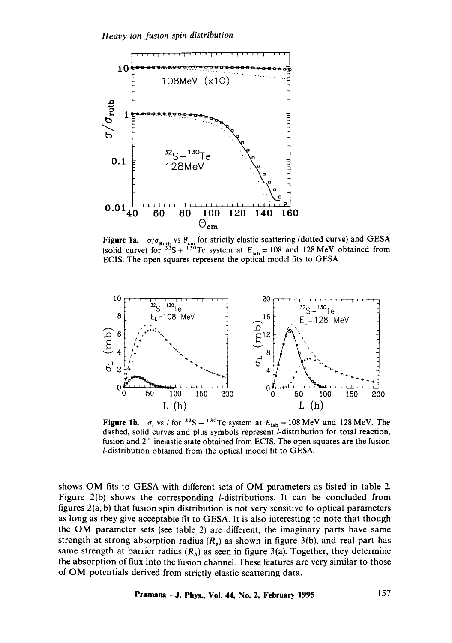

**Figure 1a.**  $\sigma/\sigma_{\text{max}}$  vs  $\theta_{\text{cm}}$  for strictly elastic scattering (dotted curve) and GESA (solid curve) for  $3^{2}S + 13^{0}Te$  system at  $E_{\text{lab}} = 108$  and 128 MeV obtained from ECIS. The open squares represent the optical model fits to GESA.



Figure 1b.  $\sigma_l$  vs *l* for <sup>32</sup>S + <sup>130</sup>Te system at  $E_{\text{lab}} = 108 \text{ MeV}$  and 128 MeV. The dashed, solid curves and plus symbols represent *l*-distribution for total reaction, fusion and  $2<sup>+</sup>$  inelastic state obtained from ECIS. The open squares are the fusion /-distribution obtained from the optical model fit to GESA.

shows OM fits to GESA with different sets of OM parameters as listed in table 2. Figure 2(b) shows the corresponding /-distributions. It can be concluded from figures 2(a, b) that fusion spin distribution is not very sensitive to optical parameters as long as they give acceptable fit to GESA. It is also interesting to note that though the OM parameter sets (see table 2) are different, the imaginary parts have same strength at strong absorption radius  $(R_s)$  as shown in figure 3(b), and real part has same strength at barrier radius  $(R_b)$  as seen in figure 3(a). Together, they determine the absorption of flux into the fusion channel. These features are very similar to those of OM potentials derived from strictly elastic scattering data.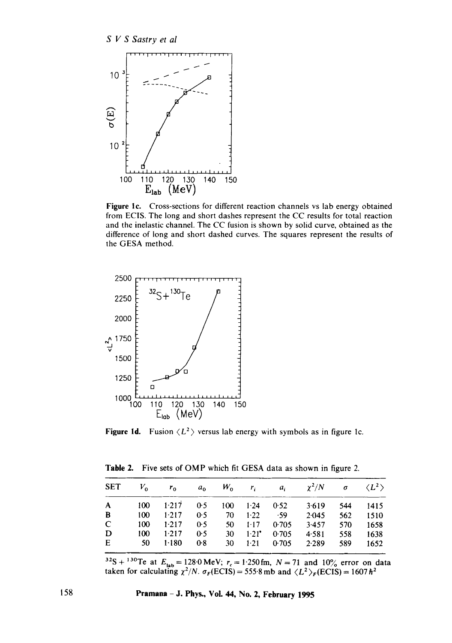

Figure 1c. Cross-sections for different reaction channels vs lab energy obtained from ECIS. The long and short dashes represent the CC results for total reaction and the inelastic channel. The CC fusion is shown by solid curve, obtained as the difference of long and short dashed curves. The squares represent the results of the GFSA method.



Figure 1d. Fusion  $\langle L^2 \rangle$  versus lab energy with symbols as in figure 1c.

**Table 2.** Five sets of OMP which fit GESA data as shown in figure **2.** 

|             |                                           |     |                   |                     | SET $V_0$ $r_0$ $a_0$ $W_0$ $r_i$ $a_i$ $\chi^2/N$ $\sigma$ $\langle L^2 \rangle$ |     |        |
|-------------|-------------------------------------------|-----|-------------------|---------------------|-----------------------------------------------------------------------------------|-----|--------|
|             | A 100 1.217 0.5 100 1.24 0.52             |     |                   |                     | 3.619                                                                             | 544 | 1415   |
| B           | $100 \t 1.217 \t 0.5 \t 70 \t 1.22 \t 59$ |     |                   |                     | 2.045                                                                             | 562 | 1510   |
| $\mathbf C$ | $100 \t 1.217 \t 0.5$                     |     | 50 1.17 0.705     |                     | 3.457                                                                             | 570 | - 1658 |
| D           | $100 \t 1.217$                            | 0.5 | $30 \t1.21$ 0.705 |                     | 4.581                                                                             | 558 | 1638   |
| E           | $50 \t1.180$                              | 0.8 |                   | $30 \t1.21 \t0.705$ | 2.289                                                                             | 589 | 1652   |

<sup>32</sup>S + <sup>130</sup>Te at  $E_{\text{lab}} = 128.0 \text{ MeV}; r_s = 1.250 \text{ fm}, N = 71 \text{ and } 10\%$  error on data taken for calculating  $\chi^2/N$ .  $\sigma_F(ECIS) = 555.8$  mb and  $\langle L^2 \rangle_F(ECIS) = 1607 \hbar^2$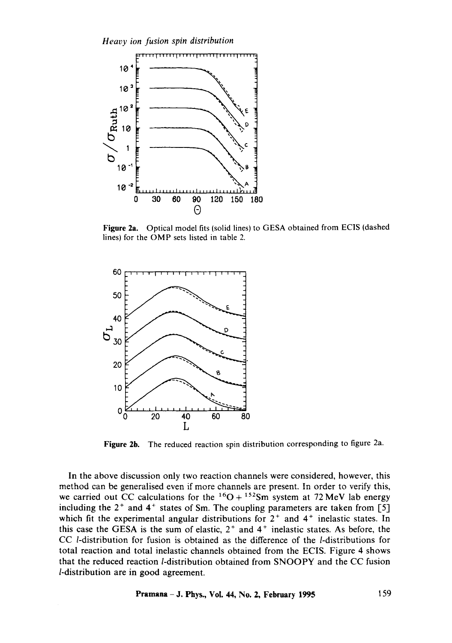

Figure 2a. Optical model fits (solid lines) to GESA obtained from ECIS (dashed lines) for the OMP sets listed in table 2.



Figure 2b. The reduced reaction spin distribution corresponding to figure 2a.

In the above discussion only two reaction channels were considered, however, this method can be generalised even if more channels are present. In order to verify this, we carried out CC calculations for the  ${}^{16}O + {}^{152}Sm$  system at 72 MeV lab energy including the  $2^+$  and  $4^+$  states of Sm. The coupling parameters are taken from [5] which fit the experimental angular distributions for  $2^+$  and  $4^+$  inelastic states. In this case the GESA is the sum of elastic,  $2<sup>+</sup>$  and  $4<sup>+</sup>$  inelastic states. As before, the CC /-distribution for fusion is obtained as the difference of the /-distributions for total reaction and total inelastic channels obtained from the ECIS. Figure 4 shows that the reduced reaction *l*-distribution obtained from SNOOPY and the CC fusion /-distribution are in good agreement.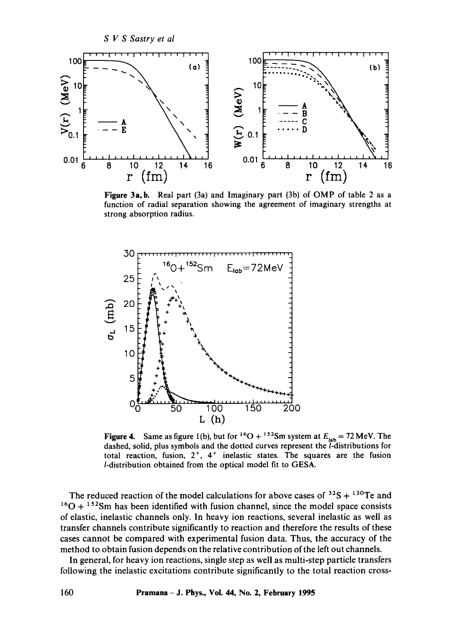

Figure 3a, b. Real part (3a) and Imaginary part (3b) of OMP of table 2 as a function of radial separation showing the agreement of imaginary strengths at strong absorption radius.



Figure 4. Same as figure 1(b), but for <sup>16</sup>O + <sup>152</sup>Sm system at  $E_{lab} = 72$  MeV. The dashed, solid, plus symbols and the dotted curves represent the l-distributions for total reaction, fusion,  $2^+$ ,  $4^+$  inelastic states. The squares are the fusion /-distribution obtained from the optical model fit to GESA.

The reduced reaction of the model calculations for above cases of  $32S + 130Te$  and  $16O + 152$ Sm has been identified with fusion channel, since the model space consists of elastic, inelastic channels only. In heavy ion reactions, several inelastic as well as transfer channels contribute significantly to reaction and therefore the results of these cases cannot be compared with experimental fusion data. Thus, the accuracy of the method to obtain fusion depends on the relative contribution of the left out channels.

In general, for heavy ion reactions, single step as well as multi-step particle transfers following the inelastic excitations contribute significantly to the total reaction cross-

**100 Pramana- J. Phys., Voi. 44, No. 2, February 1995**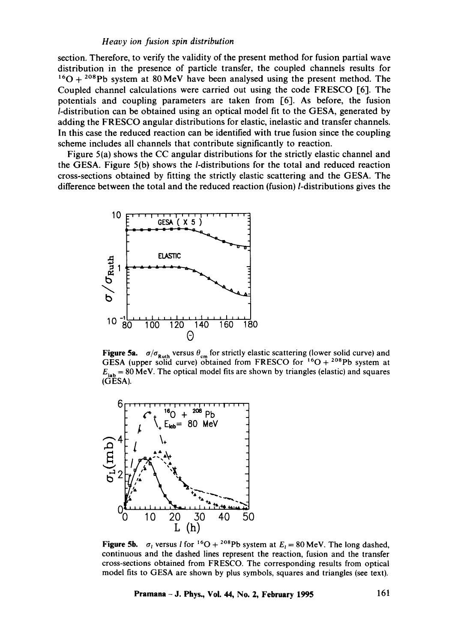# *Heavy ion fusion spin distribution*

section. Therefore, to verify the validity of the present method for fusion partial wave distribution in the presence of particle transfer, the coupled channels results for  $160 + 208$  Pb system at 80 MeV have been analysed using the present method. The Coupled channel calculations were carried out using the code FRESCO [6]. The potentials and coupling parameters are taken from [6]. As before, the fusion /-distribution can be obtained using an optical model fit to the GESA, generated by adding the FRESCO angular distributions for elastic, inelastic and transfer channels. In this case the reduced reaction can be identified with true fusion since the coupling scheme includes all channels that contribute significantly to reaction.

Figure 5{a) shows the CC angular distributions for the strictly elastic channel and the GESA. Figure  $5(b)$  shows the *l*-distributions for the total and reduced reaction cross-sections obtained by fitting the strictly elastic scattering and the GESA. The difference between the total and the reduced reaction (fusion)/-distributions gives the



Figure 5a.  $\sigma/\sigma_{\text{Ruth}}$  versus  $\theta_{\text{cm}}$  for strictly elastic scattering (lower solid curve) and GESA (upper solid curve) obtained from FRESCO for  $16O + 208Pb$  system at  $E_{\text{lab}} = 80 \text{ MeV}$ . The optical model fits are shown by triangles (elastic) and squares (GESA).



Figure 5b.  $\sigma_l$  versus I for <sup>16</sup>O + <sup>208</sup>Pb system at  $E_l = 80$  MeV. The long dashed, continuous and the dashed lines represent the reaction, fusion and the transfer cross-sections obtained from FRESCO. The corresponding results from optical model fits to GESA are shown by plus symbols, squares and triangles (see text).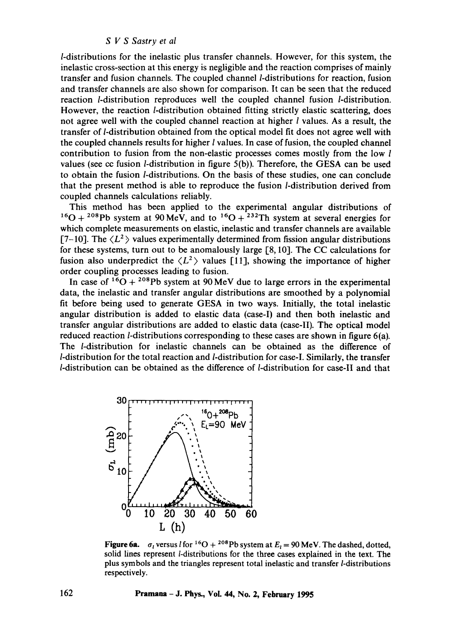/-distributions for the inelastic plus transfer channels. However, for this system, the inelastic cross-section at this energy is negligible and the reaction comprises of mainly transfer and fusion channels. The coupled channel/-distributions for reaction, fusion and transfer channels are also shown for comparison. It can be seen that the reduced reaction /-distribution reproduces well the coupled channel fusion /-distribution. However, the reaction /-distribution obtained fitting strictly elastic scattering, does not agree well with the coupled channel reaction at higher  $l$  values. As a result, the transfer of *l*-distribution obtained from the optical model fit does not agree well with the coupled channels results for higher  $l$  values. In case of fusion, the coupled channel contribution to fusion from the non-elastic processes comes mostly from the low l values (see cc fusion l-distribution in figure 5(b)). Therefore, the GESA can be used to obtain the fusion *l*-distributions. On the basis of these studies, one can conclude that the present method is able to reproduce the fusion *l*-distribution derived from coupled channels calculations reliably.

This method has been applied to the experimental angular distributions of  $^{16}O + ^{208}Pb$  system at 90 MeV, and to  $^{16}O + ^{232}Th$  system at several energies for which complete measurements on elastic, inelastic and transfer channels are available  $[7-10]$ . The  $\langle L^2 \rangle$  values experimentally determined from fission angular distributions for these systems, turn out to be anomalously large [8, 10]. The CC calculations for fusion also underpredict the  $\langle L^2 \rangle$  values [11], showing the importance of higher order coupling processes leading to fusion.

In case of  $16O + 208Pb$  system at 90 MeV due to large errors in the experimental data, the inelastic and transfer angular distributions are smoothed by a polynomial fit before being used to generate GESA in two ways. Initially, the total inelastic angular distribution is added to elastic data (case-I) and then both inelastic and transfer angular distributions are added to elastic data (case-II). The optical model reduced reaction  $l$ -distributions corresponding to these cases are shown in figure 6(a). The /-distribution for inelastic channels can be obtained as the difference of /-distribution for the total reaction and l-distribution for cas¢-I. Similarly, the transfer  $l$ -distribution can be obtained as the difference of  $l$ -distribution for case-II and that



Figure 6a.  $\sigma_l$  versus *l* for <sup>16</sup>O + <sup>208</sup>Pb system at  $E_l = 90$  MeV. The dashed, dotted, solid lines represent l-distributions for the three cases explained in the text. The plus symbols and the triangles represent total inelastic and transfer/-distributions respectively.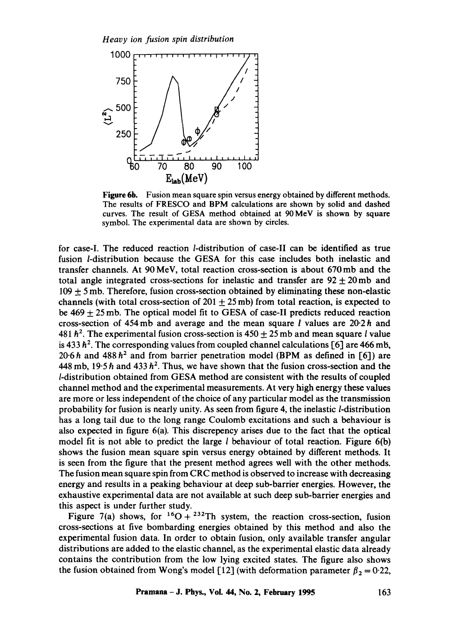

**Figure 6b.** Fusion mean square spin versus energy obtained by different methods. The results of FRESCO and BPM calculations are shown by solid and dashed curves. The result of GESA method obtained at 90 MeV is shown by square symbol. The experimental data are shown by circles.

for case-I. The reduced reaction /-distribution of case-II can be identified as true fusion /-distribution because the GESA for this case includes both inelastic and transfer channels. At 90 MeV, total reaction cross-section is about 670mb and the total angle integrated cross-sections for inelastic and transfer are  $92 \pm 20 \,\text{mb}$  and  $109 \pm 5$  mb. Therefore, fusion cross-section obtained by eliminating these non-elastic channels (with total cross-section of 201  $\pm$  25 mb) from total reaction, is expected to be  $469 \pm 25$  mb. The optical model fit to GESA of case-II predicts reduced reaction cross-section of 454 mb and average and the mean square l values are  $20.2 h$  and 481  $h^2$ . The experimental fusion cross-section is  $450 + 25$  mb and mean square *l* value is 433  $h^2$ . The corresponding values from coupled channel calculations [6] are 466 mb, 20.6 h and 488 h<sup>2</sup> and from barrier penetration model (BPM as defined in [6]) are 448 mb, 19.5 h and 433  $h^2$ . Thus, we have shown that the fusion cross-section and the /-distribution obtained from GESA method are consistent with the results of coupled channel method and the experimental measurements. At very high energy these values are more or less independent of the choice of any particular model as the transmission probability for fusion is nearly unity. As seen from figure 4, the inelastic/-distribution has a long tail due to the long range Coulomb excitations and such a behaviour is also expected in figure 6(a). This discrepency arises due to the fact that the optical model fit is not able to predict the large  $l$  behaviour of total reaction. Figure  $6(b)$ shows the fusion mean square spin versus energy obtained by different methods. It is seen from the figure that the present method agrees well with the other methods. The fusion mean square spin from CRC method is observed to increase with decreasing energy and results in a peaking behaviour at deep sub-barrier energies. However, the exhaustive experimental data are not available at such deep sub-barrier energies and this aspect is under further study.

Figure 7(a) shows, for  ${}^{16}O + {}^{232}Th$  system, the reaction cross-section, fusion cross-sections at five bombarding energies obtained by this method and also the experimental fusion data. In order to obtain fusion, only available transfer angular distributions are added to the elastic channel, as the experimental elastic data already contains the contribution from the low lying excited states. The figure also shows the fusion obtained from Wong's model [12] (with deformation parameter  $\beta_2 = 0.22$ ,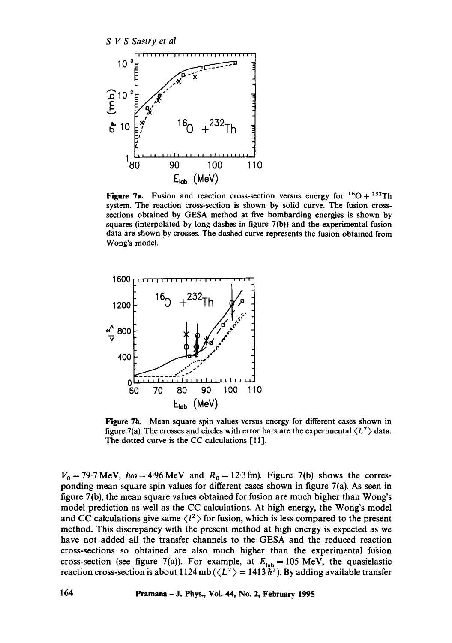

Figure 7a. Fusion and reaction cross-section versus energy for  ${}^{16}O + {}^{232}Th$ system. The reaction cross-section is shown by solid curve. The fusion crosssections obtained by GESA method at five bombarding energies is shown by squares (interpolated by long dashes in figure 7(b)) and the experimental fusion data are shown by crosses. The dashed curve represents the fusion obtained from Wong's model.



Figure 7b. Mean square spin values versus energy for different cases shown in figure 7(a). The crosses and circles with error bars are the experimental  $\langle L^2 \rangle$  data. The dotted curve is the CC calculations [11].

 $V_0 = 79.7 \text{ MeV}$ ,  $\hbar \omega = 4.96 \text{ MeV}$  and  $R_0 = 12.3 \text{ fm}$ ). Figure 7(b) shows the corresponding mean square spin values for different cases shown in figure 7(a). As seen in figure 7(b), the mean square values obtained for fusion are much higher than Wong's model prediction as well as the CC calculations. At high energy, the Wong's model and CC calculations give same  $\langle l^2 \rangle$  for fusion, which is less compared to the present method. This discrepancy with the present method at high energy is expected as we have not added all the transfer channels to the GESA and the reduced reaction cross-sections so obtained are also much higher than the experimental fugion cross-section (see figure 7(a)). For example, at  $E_{\text{lab}} = 105$  MeV, the quasielastic reaction cross-section is about 1124 mb ( $\langle L^2 \rangle = 1413 \hbar^2$ ). By adding available transfer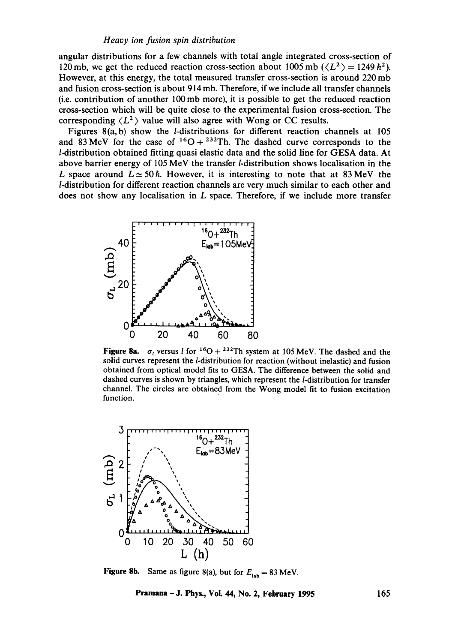#### *Heavy ion fusion spin distribution*

angular distributions for a few channels with total angle integrated cross-section of 120 mb, we get the reduced reaction cross-section about 1005 mb  $(\langle L^2 \rangle = 1249 \hbar^2)$ . However, at this energy, the total measured transfer cross-section is around 220 mb and fusion cross-section is about 914 mb. Therefore, if we include all transfer channels (i.e. contribution of another 100mb more), it is possible to get the reduced reaction cross-section which will be quite close to the experimental fusion cross-section. The corresponding  $\langle L^2 \rangle$  value will also agree with Wong or CC results.

Figures 8(a,b) show the /-distributions for different reaction channels at 105 and 83 MeV for the case of  ${}^{16}O + {}^{232}Th$ . The dashed curve corresponds to the /-distribution obtained fitting quasi elastic data and the solid line for GESA data. At above barrier energy of 105 MeV the transfer *l*-distribution shows localisation in the L space around  $L \approx 50h$ . However, it is interesting to note that at 83 MeV the /-distribution for different reaction channels are very much similar to each other and does not show any localisation in  $L$  space. Therefore, if we include more transfer



Figure 8a.  $\sigma_l$  versus *l* for <sup>16</sup>O + <sup>232</sup>Th system at 105 MeV. The dashed and the solid curves represent the *l*-distribution for reaction (without inelastic) and fusion obtained from optical model fits to GESA. The difference between the solid and dashed curves is shown by triangles, which represent the *l*-distribution for transfer channel. The circles are obtained from the Wong model fit to fusion excitation function.



**Figure 8b.** Same as figure 8(a), but for  $E_{lab} = 83$  MeV.

**Pramana - J. Phys., Vol. 44, No. 2, February 1995** 165